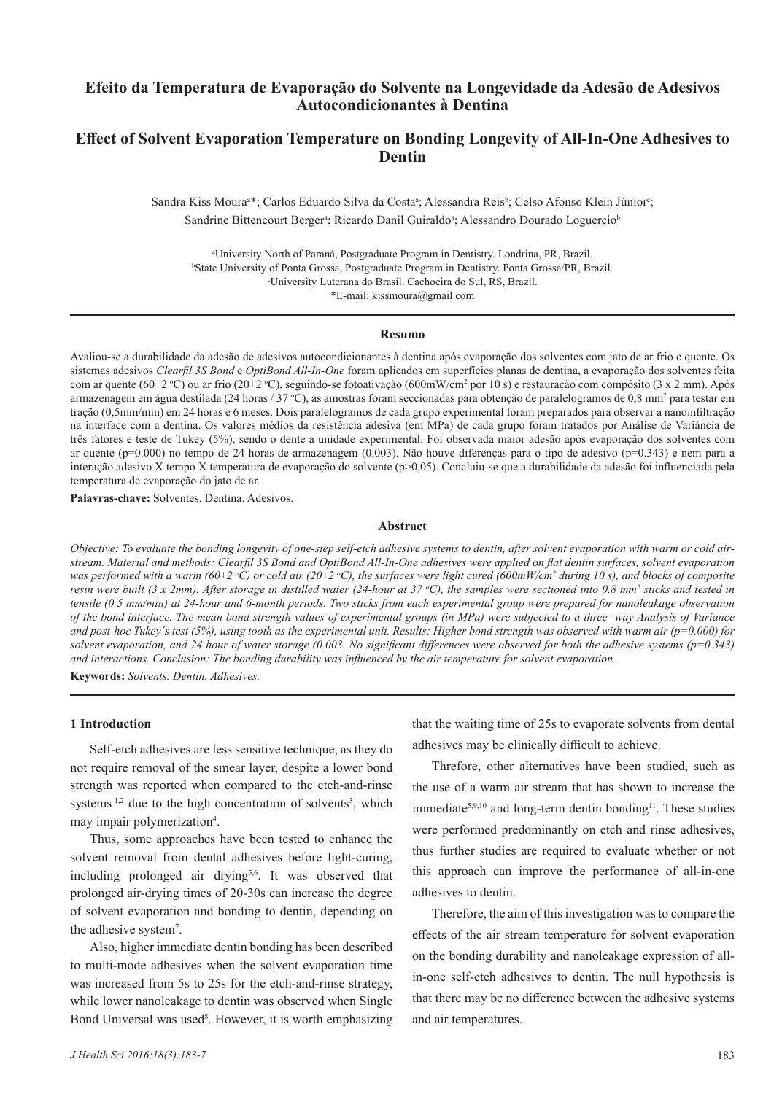## **Efeito da Temperatura de Evaporação do Solvente na Longevidade da Adesão de Adesivos Autocondicionantes à Dentina**

# **Effect of Solvent Evaporation Temperature on Bonding Longevity of All-In-One Adhesives to Dentin**

Sandra Kiss Moura<sup>a\*</sup>; Carlos Eduardo Silva da Costa<sup>a</sup>; Alessandra Reis<sup>b</sup>; Celso Afonso Klein Júnior<sup>c</sup>; Sandrine Bittencourt Berger<sup>a</sup>; Ricardo Danil Guiraldo<sup>a</sup>; Alessandro Dourado Loguercio<sup>b</sup>

a University North of Paraná, Postgraduate Program in Dentistry. Londrina, PR, Brazil. b <sup>b</sup>State University of Ponta Grossa, Postgraduate Program in Dentistry. Ponta Grossa/PR, Brazil. University Luterana do Brasil. Cachoeira do Sul, RS, Brazil. \*E-mail: kissmoura@gmail.com

#### **Resumo**

Avaliou-se a durabilidade da adesão de adesivos autocondicionantes à dentina após evaporação dos solventes com jato de ar frio e quente. Os sistemas adesivos *Clearfil 3S Bond* e *OptiBond All-In-One* foram aplicados em superfícies planas de dentina, a evaporação dos solventes feita com ar quente (60±2 °C) ou ar frio (20±2 °C), seguindo-se fotoativação (600mW/cm<sup>2</sup> por 10 s) e restauração com compósito (3 x 2 mm). Após armazenagem em água destilada (24 horas / 37 °C), as amostras foram seccionadas para obtenção de paralelogramos de 0,8 mm² para testar em tração (0,5mm/min) em 24 horas e 6 meses. Dois paralelogramos de cada grupo experimental foram preparados para observar a nanoinfiltração na interface com a dentina. Os valores médios da resistência adesiva (em MPa) de cada grupo foram tratados por Análise de Variância de três fatores e teste de Tukey (5%), sendo o dente a unidade experimental. Foi observada maior adesão após evaporação dos solventes com ar quente (p=0.000) no tempo de 24 horas de armazenagem (0.003). Não houve diferenças para o tipo de adesivo (p=0.343) e nem para a interação adesivo X tempo X temperatura de evaporação do solvente (p>0,05). Concluiu-se que a durabilidade da adesão foi influenciada pela temperatura de evaporação do jato de ar.

**Palavras-chave:** Solventes. Dentina. Adesivos.

### **Abstract**

*Objective: To evaluate the bonding longevity of one-step self-etch adhesive systems to dentin, after solvent evaporation with warm or cold airstream. Material and methods: Clearfil 3S Bond and OptiBond All-In-One adhesives were applied on flat dentin surfaces, solvent evaporation was performed with a warm (60±2 o C) or cold air (20±2 o C), the surfaces were light cured (600mW/cm2 during 10 s), and blocks of composite*  resin were built (3 x 2mm). After storage in distilled water (24-hour at 37 °C), the samples were sectioned into 0.8 mm<sup>2</sup> sticks and tested in *tensile (0.5 mm/min) at 24-hour and 6-month periods. Two sticks from each experimental group were prepared for nanoleakage observation of the bond interface. The mean bond strength values of experimental groups (in MPa) were subjected to a three- way Analysis of Variance and post-hoc Tukey´s test (5%), using tooth as the experimental unit. Results: Higher bond strength was observed with warm air (p=0.000) for solvent evaporation, and 24 hour of water storage (0.003. No significant differences were observed for both the adhesive systems (p=0.343) and interactions. Conclusion: The bonding durability was influenced by the air temperature for solvent evaporation.*

**Keywords:** *Solvents. Dentin. Adhesives.*

### **1 Introduction**

Self-etch adhesives are less sensitive technique, as they do not require removal of the smear layer, despite a lower bond strength was reported when compared to the etch-and-rinse systems<sup>1,2</sup> due to the high concentration of solvents<sup>3</sup>, which may impair polymerization<sup>4</sup>.

Thus, some approaches have been tested to enhance the solvent removal from dental adhesives before light-curing, including prolonged air drying<sup>5,6</sup>. It was observed that prolonged air-drying times of 20-30s can increase the degree of solvent evaporation and bonding to dentin, depending on the adhesive system<sup>7</sup>.

Also, higher immediate dentin bonding has been described to multi-mode adhesives when the solvent evaporation time was increased from 5s to 25s for the etch-and-rinse strategy, while lower nanoleakage to dentin was observed when Single Bond Universal was used<sup>8</sup>. However, it is worth emphasizing that the waiting time of 25s to evaporate solvents from dental adhesives may be clinically difficult to achieve.

Threfore, other alternatives have been studied, such as the use of a warm air stream that has shown to increase the immediate<sup>5,9,10</sup> and long-term dentin bonding<sup>11</sup>. These studies were performed predominantly on etch and rinse adhesives, thus further studies are required to evaluate whether or not this approach can improve the performance of all-in-one adhesives to dentin.

Therefore, the aim of this investigation was to compare the effects of the air stream temperature for solvent evaporation on the bonding durability and nanoleakage expression of allin-one self-etch adhesives to dentin. The null hypothesis is that there may be no difference between the adhesive systems and air temperatures.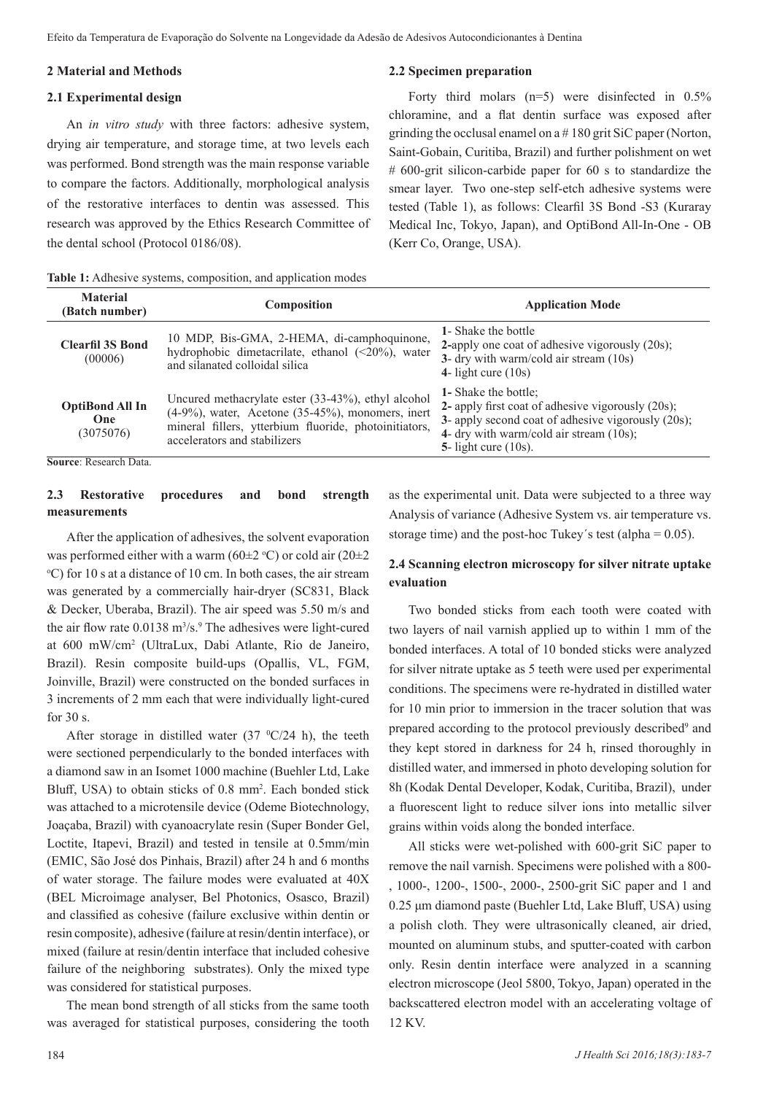### **2 Material and Methods**

### **2.1 Experimental design**

An *in vitro study* with three factors: adhesive system, drying air temperature, and storage time, at two levels each was performed. Bond strength was the main response variable to compare the factors. Additionally, morphological analysis of the restorative interfaces to dentin was assessed. This research was approved by the Ethics Research Committee of the dental school (Protocol 0186/08).

**Table 1:** Adhesive systems, composition, and application modes

#### **2.2 Specimen preparation**

Forty third molars  $(n=5)$  were disinfected in 0.5% chloramine, and a flat dentin surface was exposed after grinding the occlusal enamel on a # 180 grit SiC paper (Norton, Saint-Gobain, Curitiba, Brazil) and further polishment on wet # 600-grit silicon-carbide paper for 60 s to standardize the smear layer. Two one-step self-etch adhesive systems were tested (Table 1), as follows: Clearfil 3S Bond -S3 (Kuraray Medical Inc, Tokyo, Japan), and OptiBond All-In-One - OB (Kerr Co, Orange, USA).

| <b>Material</b><br>(Batch number)                 | <b>Composition</b>                                                                                                                                                                                      | <b>Application Mode</b>                                                                                                                                                                                         |
|---------------------------------------------------|---------------------------------------------------------------------------------------------------------------------------------------------------------------------------------------------------------|-----------------------------------------------------------------------------------------------------------------------------------------------------------------------------------------------------------------|
| <b>Clearfil 3S Bond</b><br>(00006)                | 10 MDP, Bis-GMA, 2-HEMA, di-camphoquinone,<br>hydrophobic dimetacrilate, ethanol $(\leq 20\%)$ , water<br>and silanated colloidal silica                                                                | 1- Shake the bottle<br>2-apply one coat of adhesive vigorously (20s);<br>3- dry with warm/cold air stream (10s)<br>4- light cure $(10s)$                                                                        |
| <b>OptiBond All In</b><br>One<br>(3075076)        | Uncured methacrylate ester (33-43%), ethyl alcohol<br>$(4-9\%)$ , water, Acetone $(35-45\%)$ , monomers, inert<br>mineral fillers, ytterbium fluoride, photoinitiators,<br>accelerators and stabilizers | <b>1-</b> Shake the bottle:<br>2- apply first coat of adhesive vigorously (20s);<br>3- apply second coat of adhesive vigorously (20s);<br>4- dry with warm/cold air stream $(10s)$ ;<br>5- light cure $(10s)$ . |
| $\alpha$ n $\mathbf{1}$ $\mathbf{D}$ $\mathbf{I}$ |                                                                                                                                                                                                         |                                                                                                                                                                                                                 |

**Source**: Research Data.

### **2.3 Restorative procedures and bond strength measurements**

After the application of adhesives, the solvent evaporation was performed either with a warm ( $60\pm2$  °C) or cold air ( $20\pm2$ o C) for 10 s at a distance of 10 cm. In both cases, the air stream was generated by a commercially hair-dryer (SC831, Black & Decker, Uberaba, Brazil). The air speed was 5.50 m/s and the air flow rate 0.0138 m<sup>3</sup>/s.<sup>9</sup> The adhesives were light-cured at 600 mW/cm2 (UltraLux, Dabi Atlante, Rio de Janeiro, Brazil). Resin composite build-ups (Opallis, VL, FGM, Joinville, Brazil) were constructed on the bonded surfaces in 3 increments of 2 mm each that were individually light-cured for 30 s.

After storage in distilled water  $(37 \text{ °C}/24 \text{ h})$ , the teeth were sectioned perpendicularly to the bonded interfaces with a diamond saw in an Isomet 1000 machine (Buehler Ltd, Lake Bluff, USA) to obtain sticks of 0.8 mm<sup>2</sup>. Each bonded stick was attached to a microtensile device (Odeme Biotechnology, Joaçaba, Brazil) with cyanoacrylate resin (Super Bonder Gel, Loctite, Itapevi, Brazil) and tested in tensile at 0.5mm/min (EMIC, São José dos Pinhais, Brazil) after 24 h and 6 months of water storage. The failure modes were evaluated at 40X (BEL Microimage analyser, Bel Photonics, Osasco, Brazil) and classified as cohesive (failure exclusive within dentin or resin composite), adhesive (failure at resin/dentin interface), or mixed (failure at resin/dentin interface that included cohesive failure of the neighboring substrates). Only the mixed type was considered for statistical purposes.

The mean bond strength of all sticks from the same tooth was averaged for statistical purposes, considering the tooth

as the experimental unit. Data were subjected to a three way Analysis of variance (Adhesive System vs. air temperature vs. storage time) and the post-hoc Tukey's test (alpha  $= 0.05$ ).

## **2.4 Scanning electron microscopy for silver nitrate uptake evaluation**

Two bonded sticks from each tooth were coated with two layers of nail varnish applied up to within 1 mm of the bonded interfaces. A total of 10 bonded sticks were analyzed for silver nitrate uptake as 5 teeth were used per experimental conditions. The specimens were re-hydrated in distilled water for 10 min prior to immersion in the tracer solution that was prepared according to the protocol previously described<sup>9</sup> and they kept stored in darkness for 24 h, rinsed thoroughly in distilled water, and immersed in photo developing solution for 8h (Kodak Dental Developer, Kodak, Curitiba, Brazil), under a fluorescent light to reduce silver ions into metallic silver grains within voids along the bonded interface.

All sticks were wet-polished with 600-grit SiC paper to remove the nail varnish. Specimens were polished with a 800- , 1000-, 1200-, 1500-, 2000-, 2500-grit SiC paper and 1 and 0.25 μm diamond paste (Buehler Ltd, Lake Bluff, USA) using a polish cloth. They were ultrasonically cleaned, air dried, mounted on aluminum stubs, and sputter-coated with carbon only. Resin dentin interface were analyzed in a scanning electron microscope (Jeol 5800, Tokyo, Japan) operated in the backscattered electron model with an accelerating voltage of 12 KV.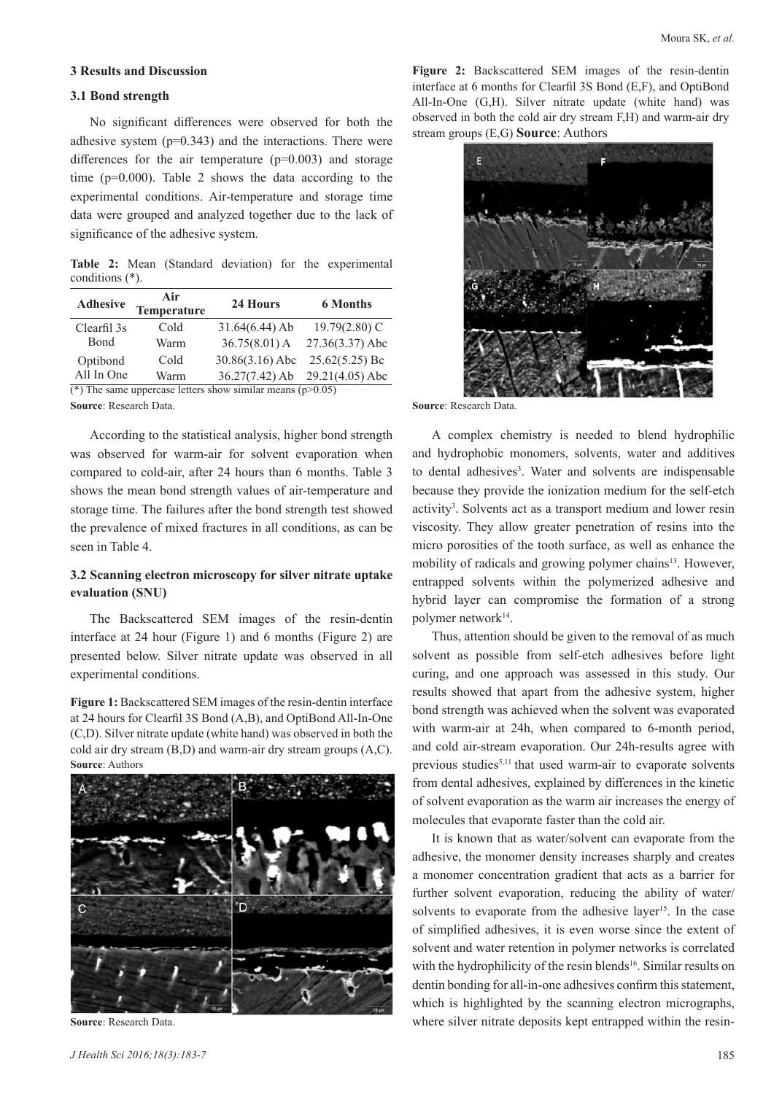## **3 Results and Discussion**

### **3.1 Bond strength**

No significant differences were observed for both the adhesive system  $(p=0.343)$  and the interactions. There were differences for the air temperature  $(p=0.003)$  and storage time ( $p=0.000$ ). Table 2 shows the data according to the experimental conditions. Air-temperature and storage time data were grouped and analyzed together due to the lack of significance of the adhesive system.

**Table 2:** Mean (Standard deviation) for the experimental conditions (\*).

| <b>Adhesive</b>        | Air<br><b>Temperature</b> | 24 Hours          | <b>6 Months</b>                         |
|------------------------|---------------------------|-------------------|-----------------------------------------|
| Clearfil 3s            | Cold                      | $31.64(6.44)$ Ab  | $19.79(2.80)$ C                         |
| <b>B</b> ond           | Warm                      | $36.75(8.01)$ A   | 27.36(3.37) Abc                         |
| Optibond               | Cold                      | $30.86(3.16)$ Abc | $25.62(5.25)$ Bc                        |
| All In One             | Warm                      | $36.27(7.42)$ Ab  | $29.21(4.05)$ Abc                       |
| $2.58 \times 10^{-14}$ | $\mathbf{1}$              |                   | $\lambda$ $\lambda$ $\lambda$ $\lambda$ |

(\*) The same uppercase letters show similar means ( $p > 0.05$ ) **Source**: Research Data.

According to the statistical analysis, higher bond strength was observed for warm-air for solvent evaporation when compared to cold-air, after 24 hours than 6 months. Table 3 shows the mean bond strength values of air-temperature and storage time. The failures after the bond strength test showed the prevalence of mixed fractures in all conditions, as can be seen in Table 4.

### **3.2 Scanning electron microscopy for silver nitrate uptake evaluation (SNU)**

The Backscattered SEM images of the resin-dentin interface at 24 hour (Figure 1) and 6 months (Figure 2) are presented below. Silver nitrate update was observed in all experimental conditions.

**Figure 1:** Backscattered SEM images of the resin-dentin interface at 24 hours for Clearfil 3S Bond (A,B), and OptiBond All-In-One (C,D). Silver nitrate update (white hand) was observed in both the cold air dry stream (B,D) and warm-air dry stream groups (A,C). **Source**: Authors



**Source**: Research Data.

**Figure 2:** Backscattered SEM images of the resin-dentin interface at 6 months for Clearfil 3S Bond (E,F), and OptiBond All-In-One (G,H). Silver nitrate update (white hand) was observed in both the cold air dry stream F,H) and warm-air dry stream groups (E,G) **Source**: Authors



**Source**: Research Data.

A complex chemistry is needed to blend hydrophilic and hydrophobic monomers, solvents, water and additives to dental adhesives<sup>3</sup>. Water and solvents are indispensable because they provide the ionization medium for the self-etch activity<sup>3</sup>. Solvents act as a transport medium and lower resin viscosity. They allow greater penetration of resins into the micro porosities of the tooth surface, as well as enhance the mobility of radicals and growing polymer chains<sup>13</sup>. However, entrapped solvents within the polymerized adhesive and hybrid layer can compromise the formation of a strong polymer network<sup>14</sup>.

Thus, attention should be given to the removal of as much solvent as possible from self-etch adhesives before light curing, and one approach was assessed in this study. Our results showed that apart from the adhesive system, higher bond strength was achieved when the solvent was evaporated with warm-air at 24h, when compared to 6-month period, and cold air-stream evaporation. Our 24h-results agree with previous studies<sup>5,11</sup> that used warm-air to evaporate solvents from dental adhesives, explained by differences in the kinetic of solvent evaporation as the warm air increases the energy of molecules that evaporate faster than the cold air.

It is known that as water/solvent can evaporate from the adhesive, the monomer density increases sharply and creates a monomer concentration gradient that acts as a barrier for further solvent evaporation, reducing the ability of water/ solvents to evaporate from the adhesive layer<sup>15</sup>. In the case of simplified adhesives, it is even worse since the extent of solvent and water retention in polymer networks is correlated with the hydrophilicity of the resin blends<sup>16</sup>. Similar results on dentin bonding for all-in-one adhesives confirm this statement, which is highlighted by the scanning electron micrographs, where silver nitrate deposits kept entrapped within the resin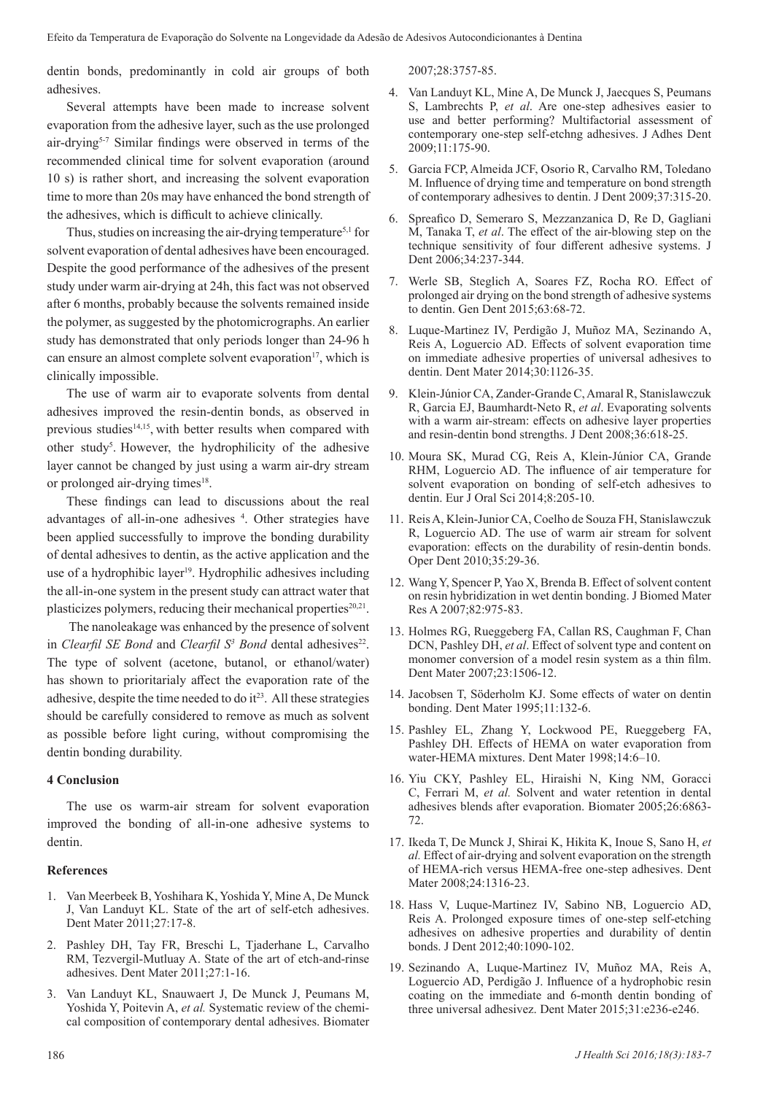dentin bonds, predominantly in cold air groups of both adhesives.

Several attempts have been made to increase solvent evaporation from the adhesive layer, such as the use prolonged air-drying<sup>5-7</sup> Similar findings were observed in terms of the recommended clinical time for solvent evaporation (around 10 s) is rather short, and increasing the solvent evaporation time to more than 20s may have enhanced the bond strength of the adhesives, which is difficult to achieve clinically.

Thus, studies on increasing the air-drying temperature<sup>5,1</sup> for solvent evaporation of dental adhesives have been encouraged. Despite the good performance of the adhesives of the present study under warm air-drying at 24h, this fact was not observed after 6 months, probably because the solvents remained inside the polymer, as suggested by the photomicrographs. An earlier study has demonstrated that only periods longer than 24-96 h can ensure an almost complete solvent evaporation<sup>17</sup>, which is clinically impossible.

The use of warm air to evaporate solvents from dental adhesives improved the resin-dentin bonds, as observed in previous studies<sup>14,15</sup>, with better results when compared with other study<sup>5</sup>. However, the hydrophilicity of the adhesive layer cannot be changed by just using a warm air-dry stream or prolonged air-drying times<sup>18</sup>.

These findings can lead to discussions about the real advantages of all-in-one adhesives 4 . Other strategies have been applied successfully to improve the bonding durability of dental adhesives to dentin, as the active application and the use of a hydrophibic layer<sup>19</sup>. Hydrophilic adhesives including the all-in-one system in the present study can attract water that plasticizes polymers, reducing their mechanical properties $20,21$ .

 The nanoleakage was enhanced by the presence of solvent in *Clearfil SE Bond* and *Clearfil S<sup>3</sup> Bond* dental adhesives<sup>22</sup>. The type of solvent (acetone, butanol, or ethanol/water) has shown to prioritarialy affect the evaporation rate of the adhesive, despite the time needed to do it $^{23}$ . All these strategies should be carefully considered to remove as much as solvent as possible before light curing, without compromising the dentin bonding durability.

### **4 Conclusion**

The use os warm-air stream for solvent evaporation improved the bonding of all-in-one adhesive systems to dentin.

### **References**

- 1. Van Meerbeek B, Yoshihara K, Yoshida Y, Mine A, De Munck J, Van Landuyt KL. State of the art of self-etch adhesives. Dent Mater 2011;27:17-8.
- 2. Pashley DH, Tay FR, Breschi L, Tjaderhane L, Carvalho RM, Tezvergil-Mutluay A. State of the art of etch-and-rinse adhesives. Dent Mater 2011;27:1-16.
- 3. Van Landuyt KL, Snauwaert J, De Munck J, Peumans M, Yoshida Y, Poitevin A, *et al.* Systematic review of the chemical composition of contemporary dental adhesives. Biomater

2007;28:3757-85.

- 4. Van Landuyt KL, Mine A, De Munck J, Jaecques S, Peumans S, Lambrechts P, *et al*. Are one-step adhesives easier to use and better performing? Multifactorial assessment of contemporary one-step self-etchng adhesives. J Adhes Dent 2009;11:175-90.
- 5. Garcia FCP, Almeida JCF, Osorio R, Carvalho RM, Toledano M. Influence of drying time and temperature on bond strength of contemporary adhesives to dentin. J Dent 2009;37:315-20.
- 6. Spreafico D, Semeraro S, Mezzanzanica D, Re D, Gagliani M, Tanaka T, *et al*. The effect of the air-blowing step on the technique sensitivity of four different adhesive systems. J Dent 2006;34:237-344.
- 7. Werle SB, Steglich A, Soares FZ, Rocha RO. Effect of prolonged air drying on the bond strength of adhesive systems to dentin. Gen Dent 2015;63:68-72.
- 8. Luque-Martinez IV, Perdigão J, Muñoz MA, Sezinando A, Reis A, Loguercio AD. Effects of solvent evaporation time on immediate adhesive properties of universal adhesives to dentin. Dent Mater 2014;30:1126-35.
- 9. Klein-Júnior CA, Zander-Grande C, Amaral R, Stanislawczuk R, Garcia EJ, Baumhardt-Neto R, *et al*. Evaporating solvents with a warm air-stream: effects on adhesive layer properties and resin-dentin bond strengths. J Dent 2008;36:618-25.
- 10. Moura SK, Murad CG, Reis A, Klein-Júnior CA, Grande RHM, Loguercio AD. The influence of air temperature for solvent evaporation on bonding of self-etch adhesives to dentin. Eur J Oral Sci 2014;8:205-10.
- 11. Reis A, Klein-Junior CA, Coelho de Souza FH, Stanislawczuk R, Loguercio AD. The use of warm air stream for solvent evaporation: effects on the durability of resin-dentin bonds. Oper Dent 2010;35:29-36.
- 12. Wang Y, Spencer P, Yao X, Brenda B. Effect of solvent content on resin hybridization in wet dentin bonding. J Biomed Mater Res A 2007;82:975-83.
- 13. Holmes RG, Rueggeberg FA, Callan RS, Caughman F, Chan DCN, Pashley DH, *et al*. Effect of solvent type and content on monomer conversion of a model resin system as a thin film. Dent Mater 2007;23:1506-12.
- 14. Jacobsen T, Söderholm KJ. Some effects of water on dentin bonding. Dent Mater 1995;11:132-6.
- 15. Pashley EL, Zhang Y, Lockwood PE, Rueggeberg FA, Pashley DH. Effects of HEMA on water evaporation from water-HEMA mixtures. Dent Mater 1998;14:6–10.
- 16. Yiu CKY, Pashley EL, Hiraishi N, King NM, Goracci C, Ferrari M, *et al.* Solvent and water retention in dental adhesives blends after evaporation. Biomater 2005;26:6863- 72.
- 17. Ikeda T, De Munck J, Shirai K, Hikita K, Inoue S, Sano H, *et al.* Effect of air-drying and solvent evaporation on the strength of HEMA-rich versus HEMA-free one-step adhesives. Dent Mater 2008;24:1316-23.
- 18. Hass V, Luque-Martinez IV, Sabino NB, Loguercio AD, Reis A. Prolonged exposure times of one-step self-etching adhesives on adhesive properties and durability of dentin bonds. J Dent 2012;40:1090-102.
- 19. Sezinando A, Luque-Martinez IV, Muñoz MA, Reis A, Loguercio AD, Perdigão J. Influence of a hydrophobic resin coating on the immediate and 6-month dentin bonding of three universal adhesivez. Dent Mater 2015;31:e236-e246.